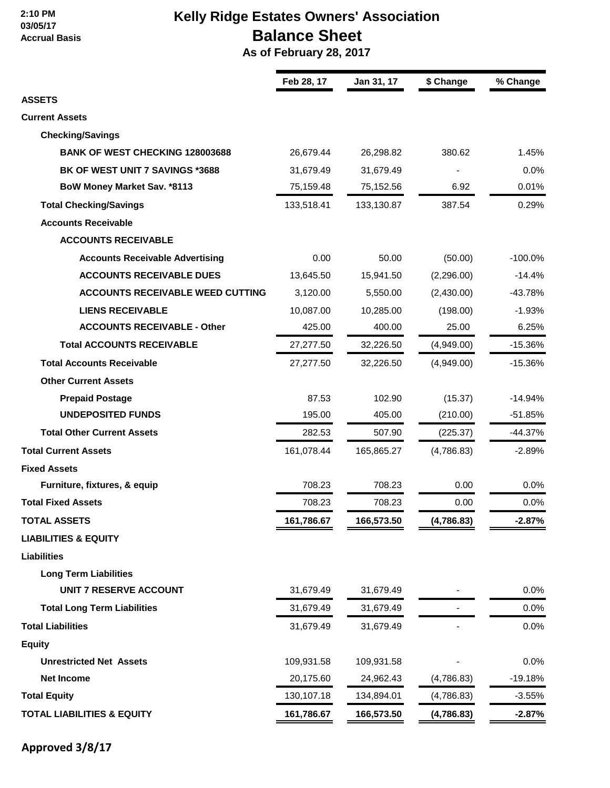#### **2:10 PM 03/05/17 Accrual Basis**

# **Kelly Ridge Estates Owners' Association Balance Sheet**

 **As of February 28, 2017**

|                                         | Feb 28, 17 | Jan 31, 17 | \$ Change  | % Change   |  |
|-----------------------------------------|------------|------------|------------|------------|--|
| <b>ASSETS</b>                           |            |            |            |            |  |
| <b>Current Assets</b>                   |            |            |            |            |  |
| <b>Checking/Savings</b>                 |            |            |            |            |  |
| <b>BANK OF WEST CHECKING 128003688</b>  | 26,679.44  | 26,298.82  | 380.62     | 1.45%      |  |
| BK OF WEST UNIT 7 SAVINGS *3688         | 31,679.49  | 31,679.49  |            | 0.0%       |  |
| BoW Money Market Sav. *8113             | 75,159.48  | 75,152.56  | 6.92       | 0.01%      |  |
| <b>Total Checking/Savings</b>           | 133,518.41 | 133,130.87 | 387.54     | 0.29%      |  |
| <b>Accounts Receivable</b>              |            |            |            |            |  |
| <b>ACCOUNTS RECEIVABLE</b>              |            |            |            |            |  |
| <b>Accounts Receivable Advertising</b>  | 0.00       | 50.00      | (50.00)    | $-100.0\%$ |  |
| <b>ACCOUNTS RECEIVABLE DUES</b>         | 13,645.50  | 15,941.50  | (2,296.00) | $-14.4%$   |  |
| <b>ACCOUNTS RECEIVABLE WEED CUTTING</b> | 3,120.00   | 5,550.00   | (2,430.00) | $-43.78%$  |  |
| <b>LIENS RECEIVABLE</b>                 | 10,087.00  | 10,285.00  | (198.00)   | $-1.93%$   |  |
| <b>ACCOUNTS RECEIVABLE - Other</b>      | 425.00     | 400.00     | 25.00      | 6.25%      |  |
| <b>Total ACCOUNTS RECEIVABLE</b>        | 27,277.50  | 32,226.50  | (4,949.00) | $-15.36%$  |  |
| <b>Total Accounts Receivable</b>        | 27,277.50  | 32,226.50  | (4,949.00) | $-15.36%$  |  |
| <b>Other Current Assets</b>             |            |            |            |            |  |
| <b>Prepaid Postage</b>                  | 87.53      | 102.90     | (15.37)    | $-14.94%$  |  |
| <b>UNDEPOSITED FUNDS</b>                | 195.00     | 405.00     | (210.00)   | $-51.85%$  |  |
| <b>Total Other Current Assets</b>       | 282.53     | 507.90     | (225.37)   | $-44.37%$  |  |
| <b>Total Current Assets</b>             | 161,078.44 | 165,865.27 | (4,786.83) | $-2.89%$   |  |
| <b>Fixed Assets</b>                     |            |            |            |            |  |
| Furniture, fixtures, & equip            | 708.23     | 708.23     | 0.00       | 0.0%       |  |
| <b>Total Fixed Assets</b>               | 708.23     | 708.23     | 0.00       | 0.0%       |  |
| <b>TOTAL ASSETS</b>                     | 161,786.67 | 166,573.50 | (4,786.83) | $-2.87%$   |  |
| <b>LIABILITIES &amp; EQUITY</b>         |            |            |            |            |  |
| <b>Liabilities</b>                      |            |            |            |            |  |
| <b>Long Term Liabilities</b>            |            |            |            |            |  |
| <b>UNIT 7 RESERVE ACCOUNT</b>           | 31,679.49  | 31,679.49  |            | 0.0%       |  |
| <b>Total Long Term Liabilities</b>      | 31,679.49  | 31,679.49  |            | 0.0%       |  |
| <b>Total Liabilities</b>                | 31,679.49  | 31,679.49  |            | 0.0%       |  |
| <b>Equity</b>                           |            |            |            |            |  |
| <b>Unrestricted Net Assets</b>          | 109,931.58 | 109,931.58 |            | 0.0%       |  |
| <b>Net Income</b>                       | 20,175.60  | 24,962.43  | (4,786.83) | $-19.18%$  |  |
| <b>Total Equity</b>                     | 130,107.18 | 134,894.01 | (4,786.83) | $-3.55%$   |  |
| <b>TOTAL LIABILITIES &amp; EQUITY</b>   | 161,786.67 | 166,573.50 | (4,786.83) | $-2.87%$   |  |

**Approved 3/8/17**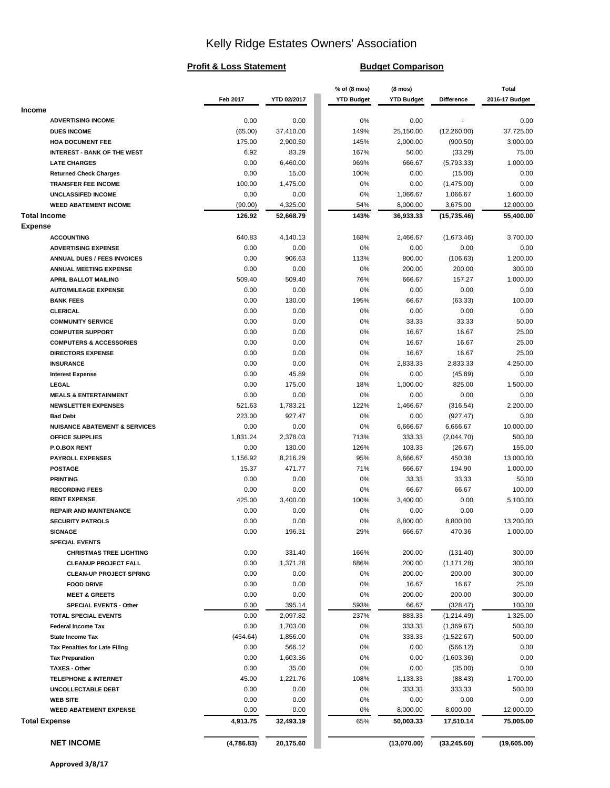# Kelly Ridge Estates Owners' Association

#### **Profit & Loss Statement Budget Comparison**

|                                          |               |                | % of (8 mos)      | $(8 \text{ mos})$ |                   | <b>Total</b>      |
|------------------------------------------|---------------|----------------|-------------------|-------------------|-------------------|-------------------|
|                                          | Feb 2017      | YTD 02/2017    | <b>YTD Budget</b> | <b>YTD Budget</b> | <b>Difference</b> | 2016-17 Budget    |
| <b>Income</b>                            |               |                |                   |                   |                   |                   |
| <b>ADVERTISING INCOME</b>                | 0.00          | 0.00           | 0%                | 0.00              |                   | 0.00              |
| <b>DUES INCOME</b>                       | (65.00)       | 37,410.00      | 149%              | 25,150.00         | (12,260.00)       | 37,725.00         |
| <b>HOA DOCUMENT FEE</b>                  | 175.00        | 2,900.50       | 145%              | 2,000.00          | (900.50)          | 3,000.00          |
| <b>INTEREST - BANK OF THE WEST</b>       | 6.92          | 83.29          | 167%              | 50.00             | (33.29)           | 75.00             |
| <b>LATE CHARGES</b>                      | 0.00          | 6,460.00       | 969%              | 666.67            | (5,793.33)        | 1,000.00          |
| <b>Returned Check Charges</b>            | 0.00          | 15.00          | 100%              | 0.00              | (15.00)           | 0.00              |
| <b>TRANSFER FEE INCOME</b>               | 100.00        | 1,475.00       | 0%                | 0.00              | (1,475.00)        | 0.00              |
| UNCLASSIFED INCOME                       | 0.00          | 0.00           | 0%                | 1,066.67          | 1,066.67          | 1,600.00          |
| <b>WEED ABATEMENT INCOME</b>             | (90.00)       | 4,325.00       | 54%               | 8,000.00          | 3,675.00          | 12,000.00         |
| <b>Total Income</b>                      | 126.92        | 52,668.79      | 143%              | 36,933.33         | (15, 735.46)      | 55,400.00         |
| <b>Expense</b>                           |               |                |                   |                   |                   |                   |
| <b>ACCOUNTING</b>                        | 640.83        | 4,140.13       | 168%              | 2,466.67          | (1,673.46)        | 3,700.00          |
| <b>ADVERTISING EXPENSE</b>               | 0.00          | 0.00           | 0%                | 0.00              | 0.00              | 0.00              |
| <b>ANNUAL DUES / FEES INVOICES</b>       | 0.00          | 906.63         | 113%              | 800.00            | (106.63)          | 1,200.00          |
| ANNUAL MEETING EXPENSE                   | 0.00          | 0.00           | 0%                | 200.00            | 200.00            | 300.00            |
| <b>APRIL BALLOT MAILING</b>              | 509.40        | 509.40         | 76%               | 666.67            | 157.27            | 1,000.00          |
| <b>AUTO/MILEAGE EXPENSE</b>              | 0.00          | 0.00           | 0%                | 0.00              | 0.00              | 0.00              |
| <b>BANK FEES</b>                         | 0.00          | 130.00         | 195%              | 66.67             | (63.33)           | 100.00            |
| <b>CLERICAL</b>                          | 0.00          | 0.00           | 0%                | 0.00              | 0.00              | 0.00              |
| <b>COMMUNITY SERVICE</b>                 | 0.00          | 0.00           | 0%                | 33.33             | 33.33             | 50.00             |
| <b>COMPUTER SUPPORT</b>                  | 0.00          | 0.00           | 0%                | 16.67             | 16.67             | 25.00             |
| <b>COMPUTERS &amp; ACCESSORIES</b>       | 0.00          | 0.00           | 0%                | 16.67             | 16.67             | 25.00             |
| <b>DIRECTORS EXPENSE</b>                 | 0.00          | 0.00           | 0%                | 16.67             | 16.67             | 25.00             |
| <b>INSURANCE</b>                         | 0.00          | 0.00           | 0%                | 2,833.33          | 2,833.33          | 4,250.00          |
| <b>Interest Expense</b>                  | 0.00          | 45.89          | 0%                | 0.00              | (45.89)           | 0.00              |
| LEGAL                                    | 0.00          | 175.00         | 18%               | 1,000.00          | 825.00            | 1,500.00          |
| <b>MEALS &amp; ENTERTAINMENT</b>         | 0.00          | 0.00           | 0%                | 0.00              | 0.00              | 0.00              |
| <b>NEWSLETTER EXPENSES</b>               | 521.63        | 1,783.21       | 122%              | 1,466.67          | (316.54)          | 2,200.00          |
| <b>Bad Debt</b>                          | 223.00        | 927.47         | 0%                | 0.00              | (927.47)          | 0.00              |
| <b>NUISANCE ABATEMENT &amp; SERVICES</b> | 0.00          | 0.00           | 0%                | 6,666.67          | 6,666.67          | 10,000.00         |
| <b>OFFICE SUPPLIES</b>                   | 1,831.24      | 2,378.03       | 713%              | 333.33            | (2,044.70)        | 500.00            |
| <b>P.O.BOX RENT</b>                      | 0.00          | 130.00         | 126%<br>95%       | 103.33            | (26.67)<br>450.38 | 155.00            |
| <b>PAYROLL EXPENSES</b>                  | 1,156.92      | 8,216.29       |                   | 8,666.67          |                   | 13,000.00         |
| <b>POSTAGE</b><br><b>PRINTING</b>        | 15.37<br>0.00 | 471.77<br>0.00 | 71%<br>0%         | 666.67<br>33.33   | 194.90<br>33.33   | 1,000.00<br>50.00 |
| <b>RECORDING FEES</b>                    | 0.00          | 0.00           | 0%                | 66.67             | 66.67             | 100.00            |
| <b>RENT EXPENSE</b>                      | 425.00        | 3,400.00       | 100%              | 3,400.00          | 0.00              | 5,100.00          |
| <b>REPAIR AND MAINTENANCE</b>            | 0.00          | 0.00           | 0%                | 0.00              | 0.00              | 0.00              |
| <b>SECURITY PATROLS</b>                  | 0.00          | 0.00           | 0%                | 8,800.00          | 8,800.00          | 13.200.00         |
| <b>SIGNAGE</b>                           | 0.00          | 196.31         | 29%               | 666.67            | 470.36            | 1,000.00          |
| <b>SPECIAL EVENTS</b>                    |               |                |                   |                   |                   |                   |
| <b>CHRISTMAS TREE LIGHTING</b>           | 0.00          | 331.40         | 166%              | 200.00            | (131.40)          | 300.00            |
| <b>CLEANUP PROJECT FALL</b>              | 0.00          | 1,371.28       | 686%              | 200.00            | (1, 171.28)       | 300.00            |
| <b>CLEAN-UP PROJECT SPRING</b>           | 0.00          | 0.00           | 0%                | 200.00            | 200.00            | 300.00            |
| <b>FOOD DRIVE</b>                        | 0.00          | 0.00           | 0%                | 16.67             | 16.67             | 25.00             |
| <b>MEET &amp; GREETS</b>                 | 0.00          | 0.00           | 0%                | 200.00            | 200.00            | 300.00            |
| SPECIAL EVENTS - Other                   | 0.00          | 395.14         | 593%              | 66.67             | (328.47)          | 100.00            |
| <b>TOTAL SPECIAL EVENTS</b>              | 0.00          | 2,097.82       | 237%              | 883.33            | (1,214.49)        | 1,325.00          |
| <b>Federal Income Tax</b>                | 0.00          | 1,703.00       | 0%                | 333.33            | (1,369.67)        | 500.00            |
| State Income Tax                         | (454.64)      | 1,856.00       | 0%                | 333.33            | (1,522.67)        | 500.00            |
| <b>Tax Penalties for Late Filing</b>     | 0.00          | 566.12         | 0%                | 0.00              | (566.12)          | 0.00              |
| <b>Tax Preparation</b>                   | 0.00          | 1,603.36       | 0%                | 0.00              | (1,603.36)        | 0.00              |
| <b>TAXES - Other</b>                     | 0.00          | 35.00          | 0%                | 0.00              | (35.00)           | 0.00              |
| <b>TELEPHONE &amp; INTERNET</b>          | 45.00         | 1,221.76       | 108%              | 1,133.33          | (88.43)           | 1,700.00          |
| UNCOLLECTABLE DEBT                       | 0.00          | 0.00           | 0%                | 333.33            | 333.33            | 500.00            |
| <b>WEB SITE</b>                          | 0.00          | 0.00           | 0%                | 0.00              | 0.00              | 0.00              |
| <b>WEED ABATEMENT EXPENSE</b>            | 0.00          | 0.00           | 0%                | 8,000.00          | 8,000.00          | 12,000.00         |
| <b>Total Expense</b>                     | 4,913.75      | 32,493.19      | 65%               | 50,003.33         | 17,510.14         | 75,005.00         |
|                                          |               |                |                   |                   |                   |                   |
| <b>NET INCOME</b>                        | (4,786.83)    | 20,175.60      |                   | (13,070.00)       | (33, 245.60)      | (19,605.00)       |
|                                          |               |                |                   |                   |                   |                   |

**Approved 3/8/17**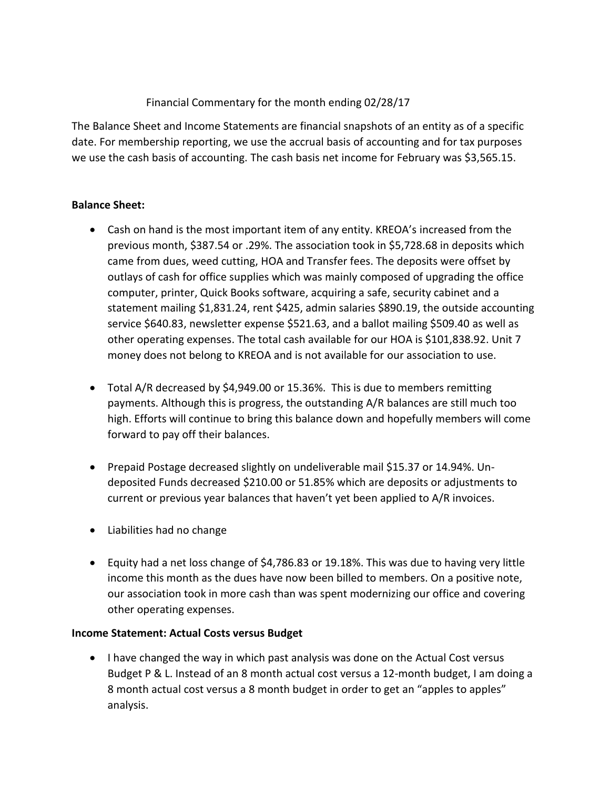# Financial Commentary for the month ending 02/28/17

The Balance Sheet and Income Statements are financial snapshots of an entity as of a specific date. For membership reporting, we use the accrual basis of accounting and for tax purposes we use the cash basis of accounting. The cash basis net income for February was \$3,565.15.

### **Balance Sheet:**

- Cash on hand is the most important item of any entity. KREOA's increased from the previous month, \$387.54 or .29%. The association took in \$5,728.68 in deposits which came from dues, weed cutting, HOA and Transfer fees. The deposits were offset by outlays of cash for office supplies which was mainly composed of upgrading the office computer, printer, Quick Books software, acquiring a safe, security cabinet and a statement mailing \$1,831.24, rent \$425, admin salaries \$890.19, the outside accounting service \$640.83, newsletter expense \$521.63, and a ballot mailing \$509.40 as well as other operating expenses. The total cash available for our HOA is \$101,838.92. Unit 7 money does not belong to KREOA and is not available for our association to use.
- Total A/R decreased by \$4,949.00 or 15.36%. This is due to members remitting payments. Although this is progress, the outstanding A/R balances are still much too high. Efforts will continue to bring this balance down and hopefully members will come forward to pay off their balances.
- Prepaid Postage decreased slightly on undeliverable mail \$15.37 or 14.94%. Undeposited Funds decreased \$210.00 or 51.85% which are deposits or adjustments to current or previous year balances that haven't yet been applied to A/R invoices.
- Liabilities had no change
- Equity had a net loss change of \$4,786.83 or 19.18%. This was due to having very little income this month as the dues have now been billed to members. On a positive note, our association took in more cash than was spent modernizing our office and covering other operating expenses.

### **Income Statement: Actual Costs versus Budget**

• I have changed the way in which past analysis was done on the Actual Cost versus Budget P & L. Instead of an 8 month actual cost versus a 12-month budget, I am doing a 8 month actual cost versus a 8 month budget in order to get an "apples to apples" analysis.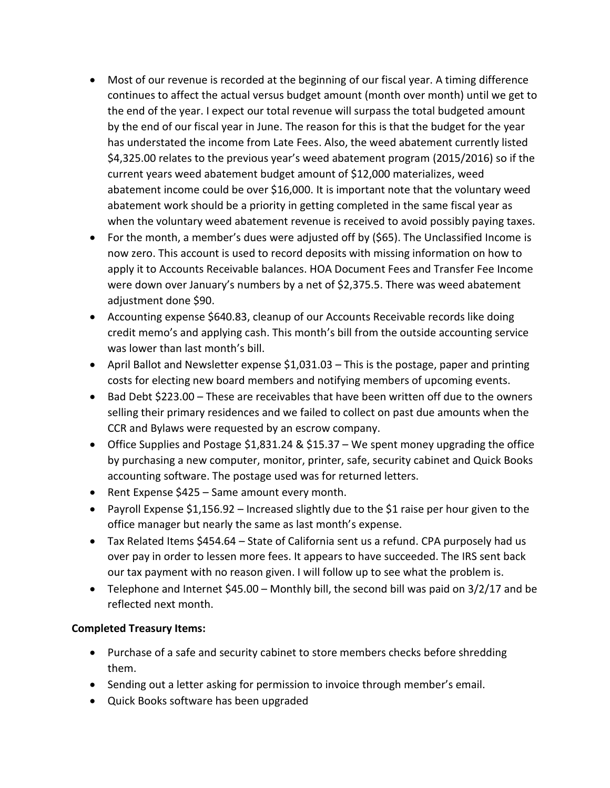- Most of our revenue is recorded at the beginning of our fiscal year. A timing difference continues to affect the actual versus budget amount (month over month) until we get to the end of the year. I expect our total revenue will surpass the total budgeted amount by the end of our fiscal year in June. The reason for this is that the budget for the year has understated the income from Late Fees. Also, the weed abatement currently listed \$4,325.00 relates to the previous year's weed abatement program (2015/2016) so if the current years weed abatement budget amount of \$12,000 materializes, weed abatement income could be over \$16,000. It is important note that the voluntary weed abatement work should be a priority in getting completed in the same fiscal year as when the voluntary weed abatement revenue is received to avoid possibly paying taxes.
- For the month, a member's dues were adjusted off by (\$65). The Unclassified Income is now zero. This account is used to record deposits with missing information on how to apply it to Accounts Receivable balances. HOA Document Fees and Transfer Fee Income were down over January's numbers by a net of \$2,375.5. There was weed abatement adjustment done \$90.
- Accounting expense \$640.83, cleanup of our Accounts Receivable records like doing credit memo's and applying cash. This month's bill from the outside accounting service was lower than last month's bill.
- April Ballot and Newsletter expense \$1,031.03 This is the postage, paper and printing costs for electing new board members and notifying members of upcoming events.
- Bad Debt \$223.00 These are receivables that have been written off due to the owners selling their primary residences and we failed to collect on past due amounts when the CCR and Bylaws were requested by an escrow company.
- Office Supplies and Postage \$1,831.24 & \$15.37 We spent money upgrading the office by purchasing a new computer, monitor, printer, safe, security cabinet and Quick Books accounting software. The postage used was for returned letters.
- Rent Expense \$425 Same amount every month.
- Payroll Expense \$1,156.92 Increased slightly due to the \$1 raise per hour given to the office manager but nearly the same as last month's expense.
- Tax Related Items \$454.64 State of California sent us a refund. CPA purposely had us over pay in order to lessen more fees. It appears to have succeeded. The IRS sent back our tax payment with no reason given. I will follow up to see what the problem is.
- Telephone and Internet \$45.00 Monthly bill, the second bill was paid on 3/2/17 and be reflected next month.

### **Completed Treasury Items:**

- Purchase of a safe and security cabinet to store members checks before shredding them.
- Sending out a letter asking for permission to invoice through member's email.
- Quick Books software has been upgraded